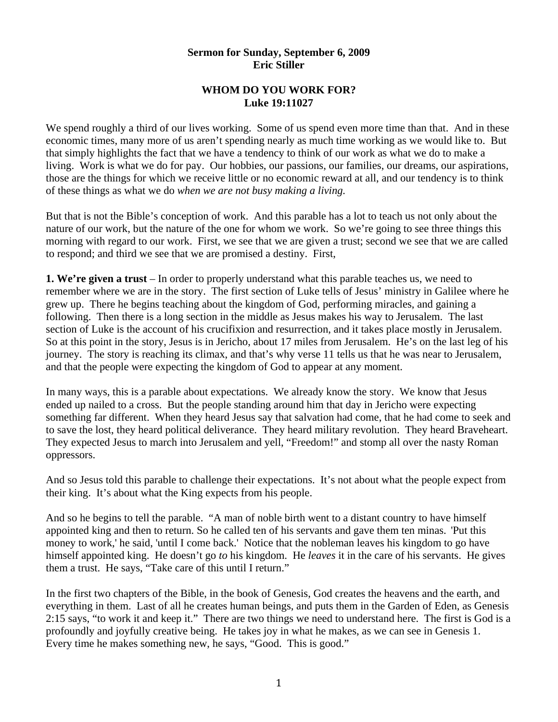## **Sermon for Sunday, September 6, 2009 Eric Stiller**

## **WHOM DO YOU WORK FOR? Luke 19:11027**

We spend roughly a third of our lives working. Some of us spend even more time than that. And in these economic times, many more of us aren't spending nearly as much time working as we would like to. But that simply highlights the fact that we have a tendency to think of our work as what we do to make a living. Work is what we do for pay. Our hobbies, our passions, our families, our dreams, our aspirations, those are the things for which we receive little or no economic reward at all, and our tendency is to think of these things as what we do *when we are not busy making a living.* 

But that is not the Bible's conception of work. And this parable has a lot to teach us not only about the nature of our work, but the nature of the one for whom we work. So we're going to see three things this morning with regard to our work. First, we see that we are given a trust; second we see that we are called to respond; and third we see that we are promised a destiny. First,

**1. We're given a trust** – In order to properly understand what this parable teaches us, we need to remember where we are in the story. The first section of Luke tells of Jesus' ministry in Galilee where he grew up. There he begins teaching about the kingdom of God, performing miracles, and gaining a following. Then there is a long section in the middle as Jesus makes his way to Jerusalem. The last section of Luke is the account of his crucifixion and resurrection, and it takes place mostly in Jerusalem. So at this point in the story, Jesus is in Jericho, about 17 miles from Jerusalem. He's on the last leg of his journey. The story is reaching its climax, and that's why verse 11 tells us that he was near to Jerusalem, and that the people were expecting the kingdom of God to appear at any moment.

In many ways, this is a parable about expectations. We already know the story. We know that Jesus ended up nailed to a cross. But the people standing around him that day in Jericho were expecting something far different. When they heard Jesus say that salvation had come, that he had come to seek and to save the lost, they heard political deliverance. They heard military revolution. They heard Braveheart. They expected Jesus to march into Jerusalem and yell, "Freedom!" and stomp all over the nasty Roman oppressors.

And so Jesus told this parable to challenge their expectations. It's not about what the people expect from their king. It's about what the King expects from his people.

And so he begins to tell the parable. "A man of noble birth went to a distant country to have himself appointed king and then to return. So he called ten of his servants and gave them ten minas. 'Put this money to work,' he said, 'until I come back.' Notice that the nobleman leaves his kingdom to go have himself appointed king. He doesn't go *to* his kingdom. He *leaves* it in the care of his servants. He gives them a trust. He says, "Take care of this until I return."

In the first two chapters of the Bible, in the book of Genesis, God creates the heavens and the earth, and everything in them. Last of all he creates human beings, and puts them in the Garden of Eden, as Genesis 2:15 says, "to work it and keep it." There are two things we need to understand here. The first is God is a profoundly and joyfully creative being. He takes joy in what he makes, as we can see in Genesis 1. Every time he makes something new, he says, "Good. This is good."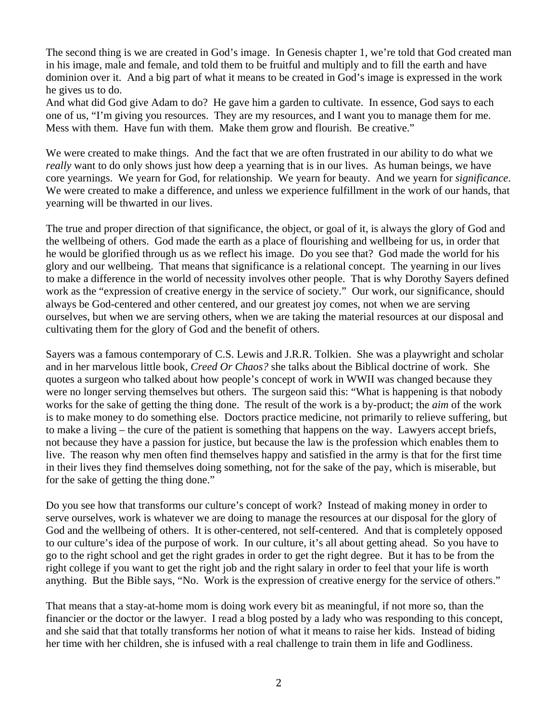The second thing is we are created in God's image. In Genesis chapter 1, we're told that God created man in his image, male and female, and told them to be fruitful and multiply and to fill the earth and have dominion over it. And a big part of what it means to be created in God's image is expressed in the work he gives us to do.

And what did God give Adam to do? He gave him a garden to cultivate. In essence, God says to each one of us, "I'm giving you resources. They are my resources, and I want you to manage them for me. Mess with them. Have fun with them. Make them grow and flourish. Be creative."

We were created to make things. And the fact that we are often frustrated in our ability to do what we *really* want to do only shows just how deep a yearning that is in our lives. As human beings, we have core yearnings. We yearn for God, for relationship. We yearn for beauty. And we yearn for *significance*. We were created to make a difference, and unless we experience fulfillment in the work of our hands, that yearning will be thwarted in our lives.

The true and proper direction of that significance, the object, or goal of it, is always the glory of God and the wellbeing of others. God made the earth as a place of flourishing and wellbeing for us, in order that he would be glorified through us as we reflect his image. Do you see that? God made the world for his glory and our wellbeing. That means that significance is a relational concept. The yearning in our lives to make a difference in the world of necessity involves other people. That is why Dorothy Sayers defined work as the "expression of creative energy in the service of society." Our work, our significance, should always be God-centered and other centered, and our greatest joy comes, not when we are serving ourselves, but when we are serving others, when we are taking the material resources at our disposal and cultivating them for the glory of God and the benefit of others.

Sayers was a famous contemporary of C.S. Lewis and J.R.R. Tolkien. She was a playwright and scholar and in her marvelous little book, *Creed Or Chaos?* she talks about the Biblical doctrine of work. She quotes a surgeon who talked about how people's concept of work in WWII was changed because they were no longer serving themselves but others. The surgeon said this: "What is happening is that nobody works for the sake of getting the thing done. The result of the work is a by-product; the *aim* of the work is to make money to do something else. Doctors practice medicine, not primarily to relieve suffering, but to make a living – the cure of the patient is something that happens on the way. Lawyers accept briefs, not because they have a passion for justice, but because the law is the profession which enables them to live. The reason why men often find themselves happy and satisfied in the army is that for the first time in their lives they find themselves doing something, not for the sake of the pay, which is miserable, but for the sake of getting the thing done."

Do you see how that transforms our culture's concept of work? Instead of making money in order to serve ourselves, work is whatever we are doing to manage the resources at our disposal for the glory of God and the wellbeing of others. It is other-centered, not self-centered. And that is completely opposed to our culture's idea of the purpose of work. In our culture, it's all about getting ahead. So you have to go to the right school and get the right grades in order to get the right degree. But it has to be from the right college if you want to get the right job and the right salary in order to feel that your life is worth anything. But the Bible says, "No. Work is the expression of creative energy for the service of others."

That means that a stay-at-home mom is doing work every bit as meaningful, if not more so, than the financier or the doctor or the lawyer. I read a blog posted by a lady who was responding to this concept, and she said that that totally transforms her notion of what it means to raise her kids. Instead of biding her time with her children, she is infused with a real challenge to train them in life and Godliness.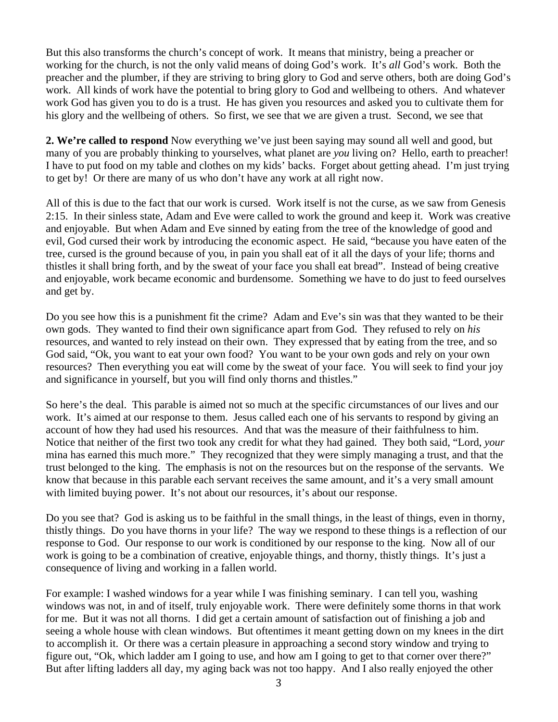But this also transforms the church's concept of work. It means that ministry, being a preacher or working for the church, is not the only valid means of doing God's work. It's *all* God's work. Both the preacher and the plumber, if they are striving to bring glory to God and serve others, both are doing God's work. All kinds of work have the potential to bring glory to God and wellbeing to others. And whatever work God has given you to do is a trust. He has given you resources and asked you to cultivate them for his glory and the wellbeing of others. So first, we see that we are given a trust. Second, we see that

**2. We're called to respond** Now everything we've just been saying may sound all well and good, but many of you are probably thinking to yourselves, what planet are *you* living on? Hello, earth to preacher! I have to put food on my table and clothes on my kids' backs. Forget about getting ahead. I'm just trying to get by! Or there are many of us who don't have any work at all right now.

All of this is due to the fact that our work is cursed. Work itself is not the curse, as we saw from Genesis 2:15. In their sinless state, Adam and Eve were called to work the ground and keep it. Work was creative and enjoyable. But when Adam and Eve sinned by eating from the tree of the knowledge of good and evil, God cursed their work by introducing the economic aspect. He said, "because you have eaten of the tree, cursed is the ground because of you, in pain you shall eat of it all the days of your life; thorns and thistles it shall bring forth, and by the sweat of your face you shall eat bread". Instead of being creative and enjoyable, work became economic and burdensome. Something we have to do just to feed ourselves and get by.

Do you see how this is a punishment fit the crime? Adam and Eve's sin was that they wanted to be their own gods. They wanted to find their own significance apart from God. They refused to rely on *his* resources, and wanted to rely instead on their own. They expressed that by eating from the tree, and so God said, "Ok, you want to eat your own food? You want to be your own gods and rely on your own resources? Then everything you eat will come by the sweat of your face. You will seek to find your joy and significance in yourself, but you will find only thorns and thistles."

So here's the deal. This parable is aimed not so much at the specific circumstances of our lives and our work. It's aimed at our response to them. Jesus called each one of his servants to respond by giving an account of how they had used his resources. And that was the measure of their faithfulness to him. Notice that neither of the first two took any credit for what they had gained. They both said, "Lord, *your* mina has earned this much more." They recognized that they were simply managing a trust, and that the trust belonged to the king. The emphasis is not on the resources but on the response of the servants. We know that because in this parable each servant receives the same amount, and it's a very small amount with limited buying power. It's not about our resources, it's about our response.

Do you see that? God is asking us to be faithful in the small things, in the least of things, even in thorny, thistly things. Do you have thorns in your life? The way we respond to these things is a reflection of our response to God. Our response to our work is conditioned by our response to the king. Now all of our work is going to be a combination of creative, enjoyable things, and thorny, thistly things. It's just a consequence of living and working in a fallen world.

For example: I washed windows for a year while I was finishing seminary. I can tell you, washing windows was not, in and of itself, truly enjoyable work. There were definitely some thorns in that work for me. But it was not all thorns. I did get a certain amount of satisfaction out of finishing a job and seeing a whole house with clean windows. But oftentimes it meant getting down on my knees in the dirt to accomplish it. Or there was a certain pleasure in approaching a second story window and trying to figure out, "Ok, which ladder am I going to use, and how am I going to get to that corner over there?" But after lifting ladders all day, my aging back was not too happy. And I also really enjoyed the other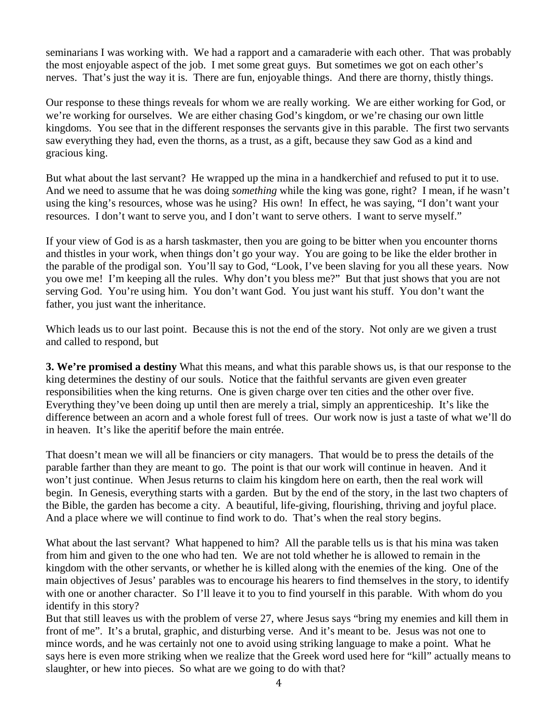seminarians I was working with. We had a rapport and a camaraderie with each other. That was probably the most enjoyable aspect of the job. I met some great guys. But sometimes we got on each other's nerves. That's just the way it is. There are fun, enjoyable things. And there are thorny, thistly things.

Our response to these things reveals for whom we are really working. We are either working for God, or we're working for ourselves. We are either chasing God's kingdom, or we're chasing our own little kingdoms. You see that in the different responses the servants give in this parable. The first two servants saw everything they had, even the thorns, as a trust, as a gift, because they saw God as a kind and gracious king.

But what about the last servant? He wrapped up the mina in a handkerchief and refused to put it to use. And we need to assume that he was doing *something* while the king was gone, right? I mean, if he wasn't using the king's resources, whose was he using? His own! In effect, he was saying, "I don't want your resources. I don't want to serve you, and I don't want to serve others. I want to serve myself."

If your view of God is as a harsh taskmaster, then you are going to be bitter when you encounter thorns and thistles in your work, when things don't go your way. You are going to be like the elder brother in the parable of the prodigal son. You'll say to God, "Look, I've been slaving for you all these years. Now you owe me! I'm keeping all the rules. Why don't you bless me?" But that just shows that you are not serving God. You're using him. You don't want God. You just want his stuff. You don't want the father, you just want the inheritance.

Which leads us to our last point. Because this is not the end of the story. Not only are we given a trust and called to respond, but

**3. We're promised a destiny** What this means, and what this parable shows us, is that our response to the king determines the destiny of our souls. Notice that the faithful servants are given even greater responsibilities when the king returns. One is given charge over ten cities and the other over five. Everything they've been doing up until then are merely a trial, simply an apprenticeship. It's like the difference between an acorn and a whole forest full of trees. Our work now is just a taste of what we'll do in heaven. It's like the aperitif before the main entrée.

That doesn't mean we will all be financiers or city managers. That would be to press the details of the parable farther than they are meant to go. The point is that our work will continue in heaven. And it won't just continue. When Jesus returns to claim his kingdom here on earth, then the real work will begin. In Genesis, everything starts with a garden. But by the end of the story, in the last two chapters of the Bible, the garden has become a city. A beautiful, life-giving, flourishing, thriving and joyful place. And a place where we will continue to find work to do. That's when the real story begins.

What about the last servant? What happened to him? All the parable tells us is that his mina was taken from him and given to the one who had ten. We are not told whether he is allowed to remain in the kingdom with the other servants, or whether he is killed along with the enemies of the king. One of the main objectives of Jesus' parables was to encourage his hearers to find themselves in the story, to identify with one or another character. So I'll leave it to you to find yourself in this parable. With whom do you identify in this story?

But that still leaves us with the problem of verse 27, where Jesus says "bring my enemies and kill them in front of me". It's a brutal, graphic, and disturbing verse. And it's meant to be. Jesus was not one to mince words, and he was certainly not one to avoid using striking language to make a point. What he says here is even more striking when we realize that the Greek word used here for "kill" actually means to slaughter, or hew into pieces. So what are we going to do with that?